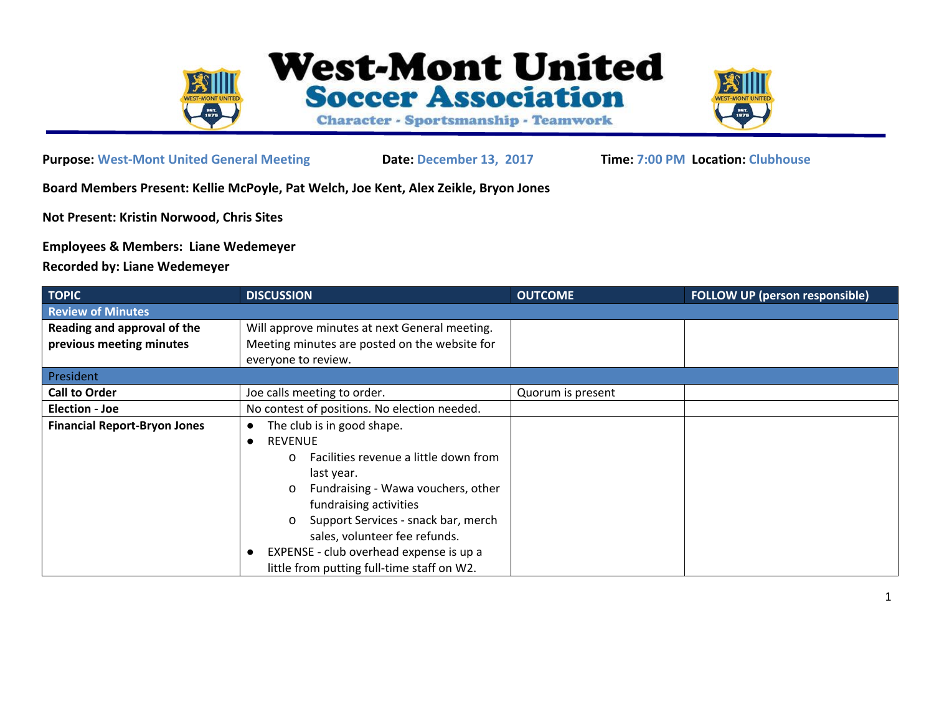

**West-Mont United Soccer Association** 

Character - Sportsmanship - Teamwork



**Purpose: West-Mont United General Meeting Date: December 13, 2017 Time: 7:00 PM Location: Clubhouse**

**Board Members Present: Kellie McPoyle, Pat Welch, Joe Kent, Alex Zeikle, Bryon Jones**

**Not Present: Kristin Norwood, Chris Sites**

**Employees & Members: Liane Wedemeyer**

**Recorded by: Liane Wedemeyer**

| <b>TOPIC</b>                        | <b>DISCUSSION</b>                                 | <b>OUTCOME</b>    | <b>FOLLOW UP (person responsible)</b> |
|-------------------------------------|---------------------------------------------------|-------------------|---------------------------------------|
| <b>Review of Minutes</b>            |                                                   |                   |                                       |
| Reading and approval of the         | Will approve minutes at next General meeting.     |                   |                                       |
| previous meeting minutes            | Meeting minutes are posted on the website for     |                   |                                       |
|                                     | everyone to review.                               |                   |                                       |
| President                           |                                                   |                   |                                       |
| <b>Call to Order</b>                | Joe calls meeting to order.                       | Quorum is present |                                       |
| <b>Election - Joe</b>               | No contest of positions. No election needed.      |                   |                                       |
| <b>Financial Report-Bryon Jones</b> | The club is in good shape.                        |                   |                                       |
|                                     | <b>REVENUE</b>                                    |                   |                                       |
|                                     | Facilities revenue a little down from<br>$\Omega$ |                   |                                       |
|                                     | last year.                                        |                   |                                       |
|                                     | Fundraising - Wawa vouchers, other<br>$\Omega$    |                   |                                       |
|                                     | fundraising activities                            |                   |                                       |
|                                     | Support Services - snack bar, merch<br>O          |                   |                                       |
|                                     | sales, volunteer fee refunds.                     |                   |                                       |
|                                     | EXPENSE - club overhead expense is up a           |                   |                                       |
|                                     | little from putting full-time staff on W2.        |                   |                                       |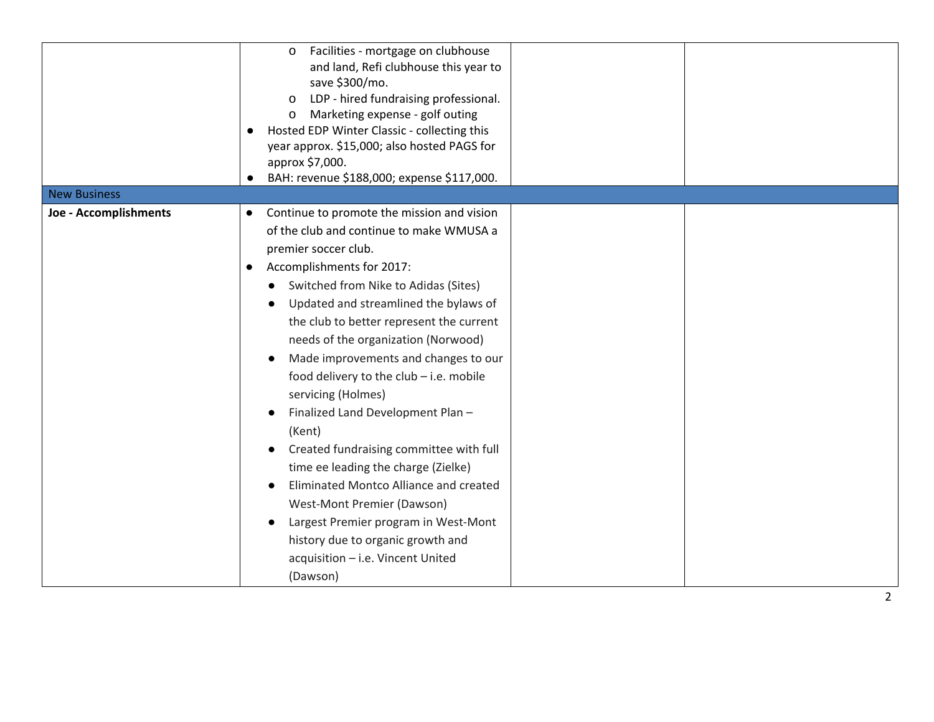| <b>New Business</b>   | Facilities - mortgage on clubhouse<br>$\mathsf{o}$<br>and land, Refi clubhouse this year to<br>save \$300/mo.<br>LDP - hired fundraising professional.<br>$\mathsf{o}$<br>Marketing expense - golf outing<br>o<br>Hosted EDP Winter Classic - collecting this<br>year approx. \$15,000; also hosted PAGS for<br>approx \$7,000.<br>BAH: revenue \$188,000; expense \$117,000. |
|-----------------------|-------------------------------------------------------------------------------------------------------------------------------------------------------------------------------------------------------------------------------------------------------------------------------------------------------------------------------------------------------------------------------|
|                       |                                                                                                                                                                                                                                                                                                                                                                               |
| Joe - Accomplishments | Continue to promote the mission and vision<br>$\bullet$                                                                                                                                                                                                                                                                                                                       |
|                       | of the club and continue to make WMUSA a                                                                                                                                                                                                                                                                                                                                      |
|                       | premier soccer club.                                                                                                                                                                                                                                                                                                                                                          |
|                       | Accomplishments for 2017:<br>$\bullet$                                                                                                                                                                                                                                                                                                                                        |
|                       | Switched from Nike to Adidas (Sites)                                                                                                                                                                                                                                                                                                                                          |
|                       | Updated and streamlined the bylaws of                                                                                                                                                                                                                                                                                                                                         |
|                       | the club to better represent the current                                                                                                                                                                                                                                                                                                                                      |
|                       | needs of the organization (Norwood)                                                                                                                                                                                                                                                                                                                                           |
|                       | Made improvements and changes to our                                                                                                                                                                                                                                                                                                                                          |
|                       | food delivery to the club - i.e. mobile                                                                                                                                                                                                                                                                                                                                       |
|                       | servicing (Holmes)                                                                                                                                                                                                                                                                                                                                                            |
|                       | Finalized Land Development Plan-                                                                                                                                                                                                                                                                                                                                              |
|                       | (Kent)                                                                                                                                                                                                                                                                                                                                                                        |
|                       | Created fundraising committee with full                                                                                                                                                                                                                                                                                                                                       |
|                       | time ee leading the charge (Zielke)                                                                                                                                                                                                                                                                                                                                           |
|                       | Eliminated Montco Alliance and created                                                                                                                                                                                                                                                                                                                                        |
|                       | West-Mont Premier (Dawson)                                                                                                                                                                                                                                                                                                                                                    |
|                       | Largest Premier program in West-Mont                                                                                                                                                                                                                                                                                                                                          |
|                       | history due to organic growth and                                                                                                                                                                                                                                                                                                                                             |
|                       | acquisition - i.e. Vincent United                                                                                                                                                                                                                                                                                                                                             |
|                       | (Dawson)                                                                                                                                                                                                                                                                                                                                                                      |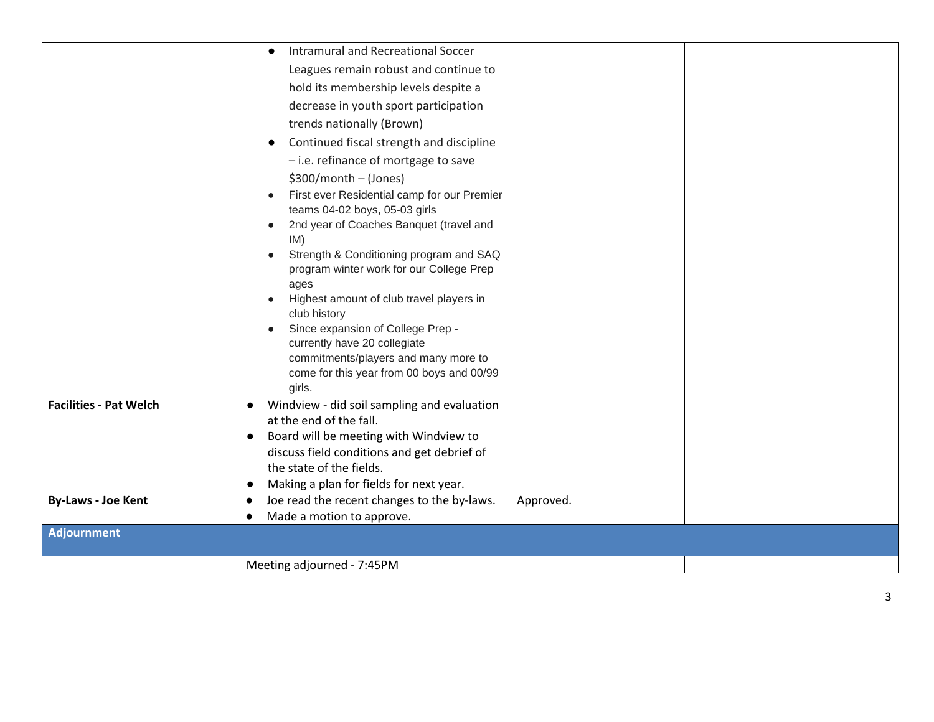|                               | Intramural and Recreational Soccer<br>$\bullet$                                                    |           |  |  |
|-------------------------------|----------------------------------------------------------------------------------------------------|-----------|--|--|
|                               | Leagues remain robust and continue to                                                              |           |  |  |
|                               | hold its membership levels despite a                                                               |           |  |  |
|                               | decrease in youth sport participation                                                              |           |  |  |
|                               | trends nationally (Brown)                                                                          |           |  |  |
|                               | Continued fiscal strength and discipline                                                           |           |  |  |
|                               | - i.e. refinance of mortgage to save                                                               |           |  |  |
|                               | $$300/month - (Jones)$                                                                             |           |  |  |
|                               | First ever Residential camp for our Premier                                                        |           |  |  |
|                               | teams 04-02 boys, 05-03 girls                                                                      |           |  |  |
|                               | 2nd year of Coaches Banquet (travel and                                                            |           |  |  |
|                               | IM)<br>Strength & Conditioning program and SAQ                                                     |           |  |  |
|                               | program winter work for our College Prep                                                           |           |  |  |
|                               | ages                                                                                               |           |  |  |
|                               | Highest amount of club travel players in                                                           |           |  |  |
|                               | club history                                                                                       |           |  |  |
|                               | Since expansion of College Prep -<br>currently have 20 collegiate                                  |           |  |  |
|                               | commitments/players and many more to                                                               |           |  |  |
|                               | come for this year from 00 boys and 00/99                                                          |           |  |  |
|                               | girls.                                                                                             |           |  |  |
| <b>Facilities - Pat Welch</b> | Windview - did soil sampling and evaluation<br>$\bullet$                                           |           |  |  |
|                               | at the end of the fall.                                                                            |           |  |  |
|                               | Board will be meeting with Windview to<br>$\bullet$<br>discuss field conditions and get debrief of |           |  |  |
|                               | the state of the fields.                                                                           |           |  |  |
|                               | Making a plan for fields for next year.                                                            |           |  |  |
| <b>By-Laws - Joe Kent</b>     | Joe read the recent changes to the by-laws.<br>$\bullet$                                           | Approved. |  |  |
|                               | Made a motion to approve.<br>$\bullet$                                                             |           |  |  |
| <b>Adjournment</b>            |                                                                                                    |           |  |  |
|                               |                                                                                                    |           |  |  |
|                               | Meeting adjourned - 7:45PM                                                                         |           |  |  |